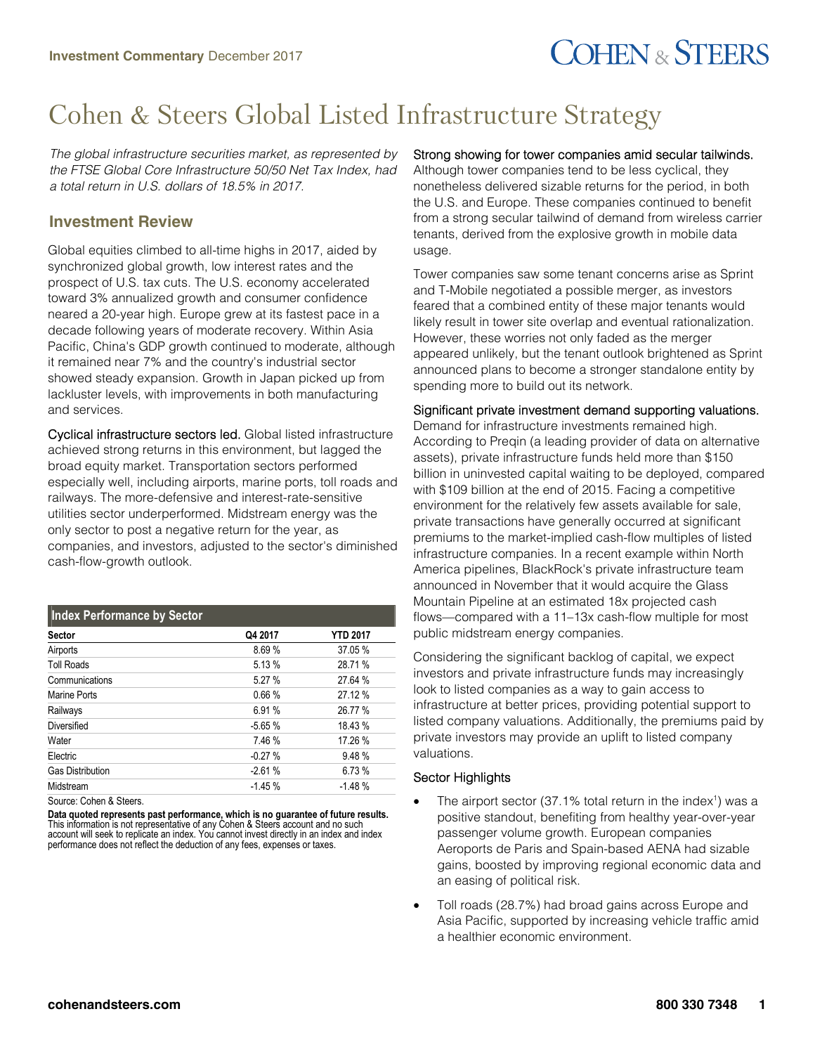# **COHEN & STEERS**

## Cohen & Steers Global Listed Infrastructure Strategy

*The global infrastructure securities market, as represented by the FTSE Global Core Infrastructure 50/50 Net Tax Index, had a total return in U.S. dollars of 18.5% in 2017.*

### **Investment Review**

Global equities climbed to all-time highs in 2017, aided by synchronized global growth, low interest rates and the prospect of U.S. tax cuts. The U.S. economy accelerated toward 3% annualized growth and consumer confidence neared a 20-year high. Europe grew at its fastest pace in a decade following years of moderate recovery. Within Asia Pacific, China's GDP growth continued to moderate, although it remained near 7% and the country's industrial sector showed steady expansion. Growth in Japan picked up from lackluster levels, with improvements in both manufacturing and services.

Cyclical infrastructure sectors led. Global listed infrastructure achieved strong returns in this environment, but lagged the broad equity market. Transportation sectors performed especially well, including airports, marine ports, toll roads and railways. The more-defensive and interest-rate-sensitive utilities sector underperformed. Midstream energy was the only sector to post a negative return for the year, as companies, and investors, adjusted to the sector's diminished cash-flow-growth outlook.

| <b>Index Performance by Sector</b> |          |                 |
|------------------------------------|----------|-----------------|
| <b>Sector</b>                      | Q4 2017  | <b>YTD 2017</b> |
| Airports                           | 8.69%    | 37.05 %         |
| <b>Toll Roads</b>                  | 5.13 %   | 28.71 %         |
| Communications                     | 5.27 %   | 27.64 %         |
| Marine Ports                       | 0.66%    | 27.12 %         |
| Railways                           | 6.91 %   | 26.77 %         |
| Diversified                        | $-5.65%$ | 18.43 %         |
| Water                              | 7.46 %   | 17.26 %         |
| Electric                           | $-0.27%$ | 9.48%           |
| <b>Gas Distribution</b>            | $-2.61%$ | 6.73%           |
| Midstream                          | $-1.45%$ | $-1.48%$        |
|                                    |          |                 |

Source: Cohen & Steers.

**Data quoted represents past performance, which is no guarantee of future results.** This information is not representative of any Cohen & Steers account and no such account will seek to replicate an index. You cannot invest directly in an index and index performance does not reflect the deduction of any fees, expenses or taxes.

### Strong showing for tower companies amid secular tailwinds.

Although tower companies tend to be less cyclical, they nonetheless delivered sizable returns for the period, in both the U.S. and Europe. These companies continued to benefit from a strong secular tailwind of demand from wireless carrier tenants, derived from the explosive growth in mobile data usage.

Tower companies saw some tenant concerns arise as Sprint and T-Mobile negotiated a possible merger, as investors feared that a combined entity of these major tenants would likely result in tower site overlap and eventual rationalization. However, these worries not only faded as the merger appeared unlikely, but the tenant outlook brightened as Sprint announced plans to become a stronger standalone entity by spending more to build out its network.

### Significant private investment demand supporting valuations.

Demand for infrastructure investments remained high. According to Preqin (a leading provider of data on alternative assets), private infrastructure funds held more than \$150 billion in uninvested capital waiting to be deployed, compared with \$109 billion at the end of 2015. Facing a competitive environment for the relatively few assets available for sale, private transactions have generally occurred at significant premiums to the market-implied cash-flow multiples of listed infrastructure companies. In a recent example within North America pipelines, BlackRock's private infrastructure team announced in November that it would acquire the Glass Mountain Pipeline at an estimated 18x projected cash flows—compared with a 11–13x cash-flow multiple for most public midstream energy companies.

Considering the significant backlog of capital, we expect investors and private infrastructure funds may increasingly look to listed companies as a way to gain access to infrastructure at better prices, providing potential support to listed company valuations. Additionally, the premiums paid by private investors may provide an uplift to listed company valuations.

#### Sector Highlights

- The airport sector (37.1% total return in the index<sup>1</sup>) was a positive standout, benefiting from healthy year-over-year passenger volume growth. European companies Aeroports de Paris and Spain-based AENA had sizable gains, boosted by improving regional economic data and an easing of political risk.
- Toll roads (28.7%) had broad gains across Europe and Asia Pacific, supported by increasing vehicle traffic amid a healthier economic environment.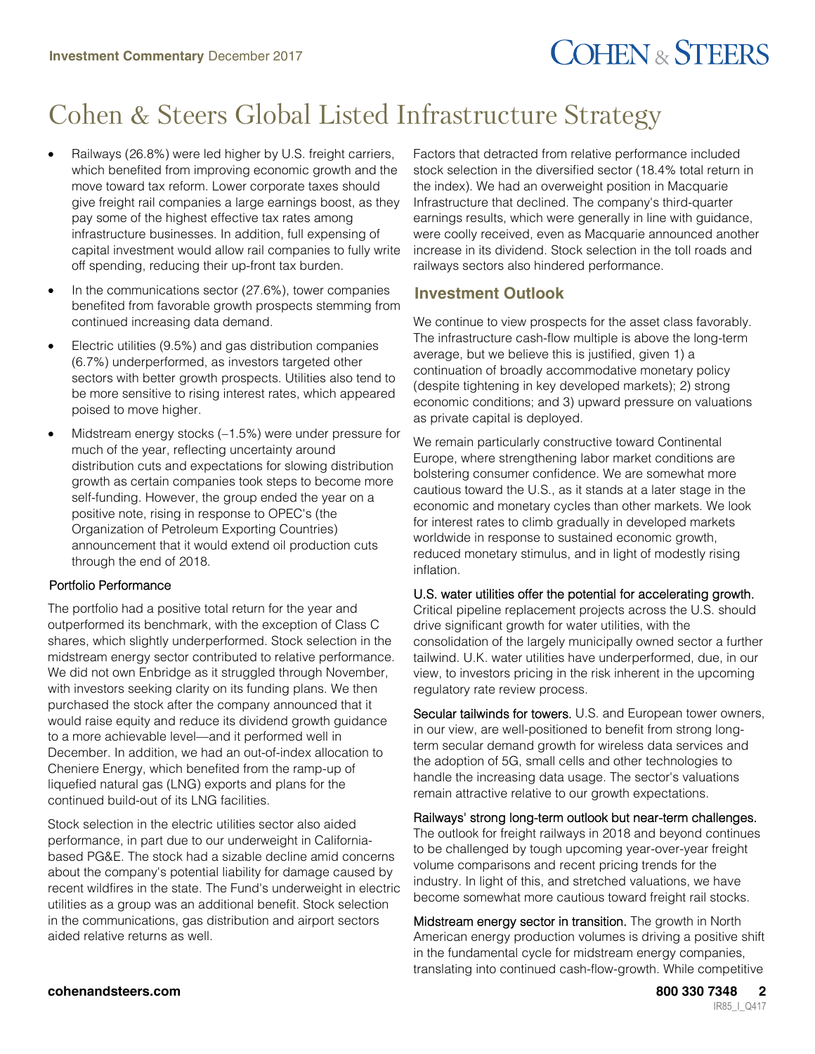# **COHEN & STEERS**

## Cohen & Steers Global Listed Infrastructure Strategy

- Railways (26.8%) were led higher by U.S. freight carriers, which benefited from improving economic growth and the move toward tax reform. Lower corporate taxes should give freight rail companies a large earnings boost, as they pay some of the highest effective tax rates among infrastructure businesses. In addition, full expensing of capital investment would allow rail companies to fully write off spending, reducing their up-front tax burden.
- In the communications sector (27.6%), tower companies benefited from favorable growth prospects stemming from continued increasing data demand.
- Electric utilities (9.5%) and gas distribution companies (6.7%) underperformed, as investors targeted other sectors with better growth prospects. Utilities also tend to be more sensitive to rising interest rates, which appeared poised to move higher.
- Midstream energy stocks (-1.5%) were under pressure for much of the year, reflecting uncertainty around distribution cuts and expectations for slowing distribution growth as certain companies took steps to become more self-funding. However, the group ended the year on a positive note, rising in response to OPEC's (the Organization of Petroleum Exporting Countries) announcement that it would extend oil production cuts through the end of 2018.

### Portfolio Performance

The portfolio had a positive total return for the year and outperformed its benchmark, with the exception of Class C shares, which slightly underperformed. Stock selection in the midstream energy sector contributed to relative performance. We did not own Enbridge as it struggled through November, with investors seeking clarity on its funding plans. We then purchased the stock after the company announced that it would raise equity and reduce its dividend growth guidance to a more achievable level—and it performed well in December. In addition, we had an out-of-index allocation to Cheniere Energy, which benefited from the ramp-up of liquefied natural gas (LNG) exports and plans for the continued build-out of its LNG facilities.

Stock selection in the electric utilities sector also aided performance, in part due to our underweight in Californiabased PG&E. The stock had a sizable decline amid concerns about the company's potential liability for damage caused by recent wildfires in the state. The Fund's underweight in electric utilities as a group was an additional benefit. Stock selection in the communications, gas distribution and airport sectors aided relative returns as well.

Factors that detracted from relative performance included stock selection in the diversified sector (18.4% total return in the index). We had an overweight position in Macquarie Infrastructure that declined. The company's third-quarter earnings results, which were generally in line with guidance, were coolly received, even as Macquarie announced another increase in its dividend. Stock selection in the toll roads and railways sectors also hindered performance.

### **Investment Outlook**

We continue to view prospects for the asset class favorably. The infrastructure cash-flow multiple is above the long-term average, but we believe this is justified, given 1) a continuation of broadly accommodative monetary policy (despite tightening in key developed markets); 2) strong economic conditions; and 3) upward pressure on valuations as private capital is deployed.

We remain particularly constructive toward Continental Europe, where strengthening labor market conditions are bolstering consumer confidence. We are somewhat more cautious toward the U.S., as it stands at a later stage in the economic and monetary cycles than other markets. We look for interest rates to climb gradually in developed markets worldwide in response to sustained economic growth, reduced monetary stimulus, and in light of modestly rising inflation.

#### U.S. water utilities offer the potential for accelerating growth.

Critical pipeline replacement projects across the U.S. should drive significant growth for water utilities, with the consolidation of the largely municipally owned sector a further tailwind. U.K. water utilities have underperformed, due, in our view, to investors pricing in the risk inherent in the upcoming regulatory rate review process.

Secular tailwinds for towers. U.S. and European tower owners, in our view, are well-positioned to benefit from strong longterm secular demand growth for wireless data services and the adoption of 5G, small cells and other technologies to handle the increasing data usage. The sector's valuations remain attractive relative to our growth expectations.

Railways' strong long-term outlook but near-term challenges. The outlook for freight railways in 2018 and beyond continues to be challenged by tough upcoming year-over-year freight volume comparisons and recent pricing trends for the industry. In light of this, and stretched valuations, we have become somewhat more cautious toward freight rail stocks.

Midstream energy sector in transition. The growth in North American energy production volumes is driving a positive shift in the fundamental cycle for midstream energy companies, translating into continued cash-flow-growth. While competitive